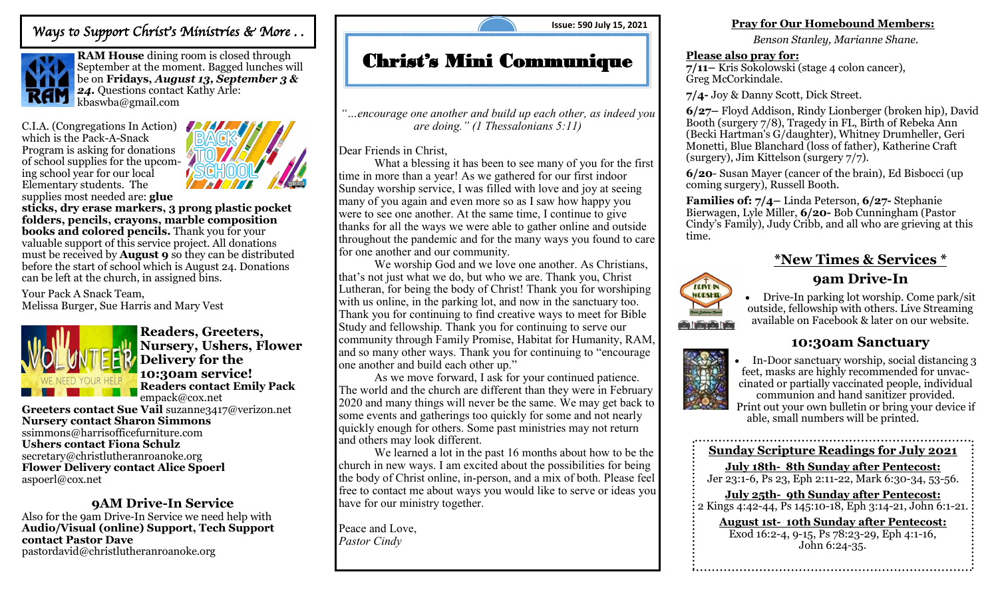## *Ways to Support Christ's Ministries & More . .*



**RAM House** dining room is closed through September at the moment. Bagged lunches will be on **Fridays,** *August 13, September 3 &*  **24.** Questions contact Kathy Arle: kbaswba@gmail.com

C.I.A. (Congregations In Action) which is the Pack-A-Snack Program is asking for donations of school supplies for the upcoming school year for our local Elementary students. The supplies most needed are: **glue** 



**sticks, dry erase markers, 3 prong plastic pocket folders, pencils, crayons, marble composition books and colored pencils.** Thank you for your valuable support of this service project. All donations must be received by **August 9** so they can be distributed before the start of school which is August 24. Donations can be left at the church, in assigned bins.

Your Pack A Snack Team, Melissa Burger, Sue Harris and Mary Vest



**Readers, Greeters, Nursery, Ushers, Flower Delivery for the 10:30am service! Readers contact Emily Pack**  empack@cox.net

**Greeters contact Sue Vail** suzanne3417@verizon.net **Nursery contact Sharon Simmons**  [ssimmons@harrisofficefurniture.com](mailto:ssimmons@harrisofficefurniture.com)  **Ushers contact Fiona Schulz**  secretary@christlutheranroanoke.org **Flower Delivery contact Alice Spoerl**  aspoerl@cox.net

## **9AM Drive-In Service**

Also for the 9am Drive-In Service we need help with **Audio/Visual (online) Support, Tech Support contact Pastor Dave**  pastordavid@christlutheranroanoke.org

**Issue: 590 July 15, 2021**

# Christ's Mini Communique

*"…encourage one another and build up each other, as indeed you are doing." (1 Thessalonians 5:11)*

Dear Friends in Christ,

What a blessing it has been to see many of you for the first time in more than a year! As we gathered for our first indoor Sunday worship service, I was filled with love and joy at seeing many of you again and even more so as I saw how happy you were to see one another. At the same time, I continue to give thanks for all the ways we were able to gather online and outside throughout the pandemic and for the many ways you found to care for one another and our community.

We worship God and we love one another. As Christians, that's not just what we do, but who we are. Thank you, Christ Lutheran, for being the body of Christ! Thank you for worshiping with us online, in the parking lot, and now in the sanctuary too. Thank you for continuing to find creative ways to meet for Bible Study and fellowship. Thank you for continuing to serve our community through Family Promise, Habitat for Humanity, RAM, and so many other ways. Thank you for continuing to "encourage one another and build each other up."

As we move forward, I ask for your continued patience. The world and the church are different than they were in February 2020 and many things will never be the same. We may get back to some events and gatherings too quickly for some and not nearly quickly enough for others. Some past ministries may not return and others may look different.

We learned a lot in the past 16 months about how to be the church in new ways. I am excited about the possibilities for being the body of Christ online, in-person, and a mix of both. Please feel free to contact me about ways you would like to serve or ideas you have for our ministry together.

Peace and Love, *Pastor Cindy*

### **Pray for Our Homebound Members:**

*Benson Stanley, Marianne Shane.*

### **Please also pray for:**

**7/11–** Kris Sokolowski (stage 4 colon cancer), Greg McCorkindale.

**7/4-** Joy & Danny Scott, Dick Street.

**6/27–** Floyd Addison, Rindy Lionberger (broken hip), David Booth (surgery 7/8), Tragedy in FL, Birth of Rebeka Ann (Becki Hartman's G/daughter), Whitney Drumheller, Geri Monetti, Blue Blanchard (loss of father), Katherine Craft (surgery), Jim Kittelson (surgery 7/7).

**6/20**- Susan Mayer (cancer of the brain), Ed Bisbocci (up coming surgery), Russell Booth.

**Families of: 7/4–** Linda Peterson, **6/27-** Stephanie Bierwagen, Lyle Miller, **6/20-** Bob Cunningham (Pastor Cindy's Family), Judy Cribb, and all who are grieving at this time.

## **\*New Times & Services \* 9am Drive-In**



• Drive-In parking lot worship. Come park/sit outside, fellowship with others. Live Streaming available on Facebook & later on our website.

## **10:30am Sanctuary**



• In-Door sanctuary worship, social distancing 3 feet, masks are highly recommended for unvaccinated or partially vaccinated people, individual communion and hand sanitizer provided. Print out your own bulletin or bring your device if

able, small numbers will be printed.

#### **Sunday Scripture Readings for July 2021**

**July 18th- 8th Sunday after Pentecost:**  Jer 23:1-6, Ps 23, Eph 2:11-22, Mark 6:30-34, 53-56.

**July 25th- 9th Sunday after Pentecost:** 

 $\frac{1}{2}$  Kings 4:42-44, Ps 145:10-18, Eph 3:14-21, John 6:1-21. **August 1st- 10th Sunday after Pentecost:** 

Exod 16:2-4, 9-15, Ps 78:23-29, Eph 4:1-16, John 6:24-35.